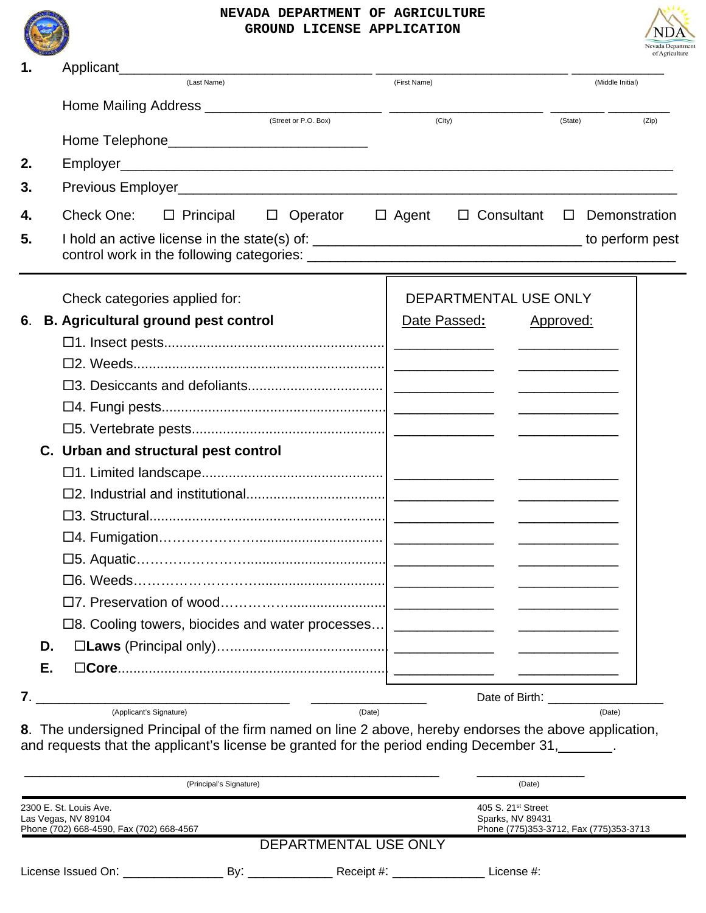

## **NEVADA DEPARTMENT OF AGRICULTURE GROUND LICENSE APPLICATION**



| 1.  |    | Applicant_                                                                                                                                                                                        |              |                                                                                              |                                                             |               |  |  |
|-----|----|---------------------------------------------------------------------------------------------------------------------------------------------------------------------------------------------------|--------------|----------------------------------------------------------------------------------------------|-------------------------------------------------------------|---------------|--|--|
|     |    | (Last Name)                                                                                                                                                                                       | (First Name) |                                                                                              | (Middle Initial)                                            |               |  |  |
|     |    |                                                                                                                                                                                                   |              |                                                                                              |                                                             |               |  |  |
|     |    | (Street or P.O. Box)                                                                                                                                                                              | (City)       |                                                                                              | (State)                                                     | (Zip)         |  |  |
|     |    | Home Telephone__________________________________                                                                                                                                                  |              |                                                                                              |                                                             |               |  |  |
| 2.  |    |                                                                                                                                                                                                   |              |                                                                                              |                                                             |               |  |  |
| 3.  |    |                                                                                                                                                                                                   |              |                                                                                              |                                                             |               |  |  |
| 4.  |    | Check One:<br>$\Box$ Principal $\Box$ Operator                                                                                                                                                    | $\Box$ Agent | $\Box$ Consultant                                                                            | $\Box$                                                      | Demonstration |  |  |
| 5.  |    |                                                                                                                                                                                                   |              |                                                                                              |                                                             |               |  |  |
|     |    | Check categories applied for:                                                                                                                                                                     |              | DEPARTMENTAL USE ONLY                                                                        |                                                             |               |  |  |
| 6.  |    | <b>B. Agricultural ground pest control</b>                                                                                                                                                        | Date Passed: |                                                                                              | Approved:                                                   |               |  |  |
|     |    |                                                                                                                                                                                                   |              |                                                                                              |                                                             |               |  |  |
|     |    |                                                                                                                                                                                                   |              |                                                                                              |                                                             |               |  |  |
|     |    |                                                                                                                                                                                                   |              |                                                                                              |                                                             |               |  |  |
|     |    |                                                                                                                                                                                                   |              |                                                                                              | <u>and the state of the state of the state of the state</u> |               |  |  |
|     |    |                                                                                                                                                                                                   |              |                                                                                              |                                                             |               |  |  |
|     |    | C. Urban and structural pest control                                                                                                                                                              |              |                                                                                              |                                                             |               |  |  |
|     |    |                                                                                                                                                                                                   |              |                                                                                              |                                                             |               |  |  |
|     |    |                                                                                                                                                                                                   |              |                                                                                              |                                                             |               |  |  |
|     |    |                                                                                                                                                                                                   |              |                                                                                              |                                                             |               |  |  |
|     |    |                                                                                                                                                                                                   |              |                                                                                              |                                                             |               |  |  |
|     |    |                                                                                                                                                                                                   |              |                                                                                              |                                                             |               |  |  |
|     |    | $\square$ 6. Weeds.                                                                                                                                                                               |              |                                                                                              |                                                             |               |  |  |
|     |    |                                                                                                                                                                                                   |              |                                                                                              |                                                             |               |  |  |
|     |    | □8. Cooling towers, biocides and water processes   __________________________                                                                                                                     |              |                                                                                              | <u> 1999 - Johann Barbara, martin a</u>                     |               |  |  |
|     | D. |                                                                                                                                                                                                   |              |                                                                                              |                                                             |               |  |  |
|     | Е. |                                                                                                                                                                                                   |              |                                                                                              |                                                             |               |  |  |
| 7.1 |    |                                                                                                                                                                                                   |              | Date of Birth: Note of Birth:                                                                |                                                             |               |  |  |
|     |    | $\frac{1}{1}$<br>(Applicant's Signature)<br>(Date)                                                                                                                                                |              |                                                                                              | (Date)                                                      |               |  |  |
|     |    | 8. The undersigned Principal of the firm named on line 2 above, hereby endorses the above application,<br>and requests that the applicant's license be granted for the period ending December 31, |              |                                                                                              |                                                             |               |  |  |
|     |    | (Principal's Signature)                                                                                                                                                                           |              | (Date)                                                                                       |                                                             |               |  |  |
|     |    | 2300 E. St. Louis Ave.<br>Las Vegas, NV 89104<br>Phone (702) 668-4590, Fax (702) 668-4567                                                                                                         |              | 405 S. 21 <sup>st</sup> Street<br>Sparks, NV 89431<br>Phone (775)353-3712, Fax (775)353-3713 |                                                             |               |  |  |

| DEPARTMENTAL USE ONLY |  |
|-----------------------|--|
|                       |  |

License Issued On: \_\_\_\_\_\_\_\_\_\_\_\_\_ By: \_\_\_\_\_\_\_\_\_\_\_ Receipt #: \_\_\_\_\_\_\_\_\_\_\_\_ License #: